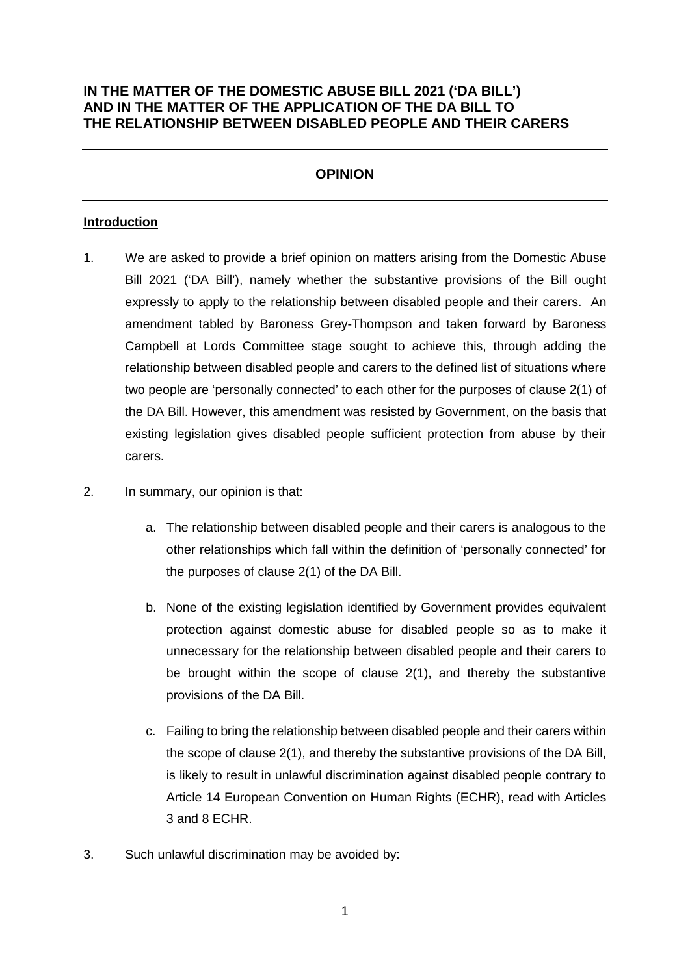# **IN THE MATTER OF THE DOMESTIC ABUSE BILL 2021 ('DA BILL') AND IN THE MATTER OF THE APPLICATION OF THE DA BILL TO THE RELATIONSHIP BETWEEN DISABLED PEOPLE AND THEIR CARERS**

# **OPINION**

#### **Introduction**

- 1. We are asked to provide a brief opinion on matters arising from the Domestic Abuse Bill 2021 ('DA Bill'), namely whether the substantive provisions of the Bill ought expressly to apply to the relationship between disabled people and their carers. An amendment tabled by Baroness Grey-Thompson and taken forward by Baroness Campbell at Lords Committee stage sought to achieve this, through adding the relationship between disabled people and carers to the defined list of situations where two people are 'personally connected' to each other for the purposes of clause 2(1) of the DA Bill. However, this amendment was resisted by Government, on the basis that existing legislation gives disabled people sufficient protection from abuse by their carers.
- 2. In summary, our opinion is that:
	- a. The relationship between disabled people and their carers is analogous to the other relationships which fall within the definition of 'personally connected' for the purposes of clause 2(1) of the DA Bill.
	- b. None of the existing legislation identified by Government provides equivalent protection against domestic abuse for disabled people so as to make it unnecessary for the relationship between disabled people and their carers to be brought within the scope of clause 2(1), and thereby the substantive provisions of the DA Bill.
	- c. Failing to bring the relationship between disabled people and their carers within the scope of clause 2(1), and thereby the substantive provisions of the DA Bill, is likely to result in unlawful discrimination against disabled people contrary to Article 14 European Convention on Human Rights (ECHR), read with Articles 3 and 8 ECHR.
- 3. Such unlawful discrimination may be avoided by: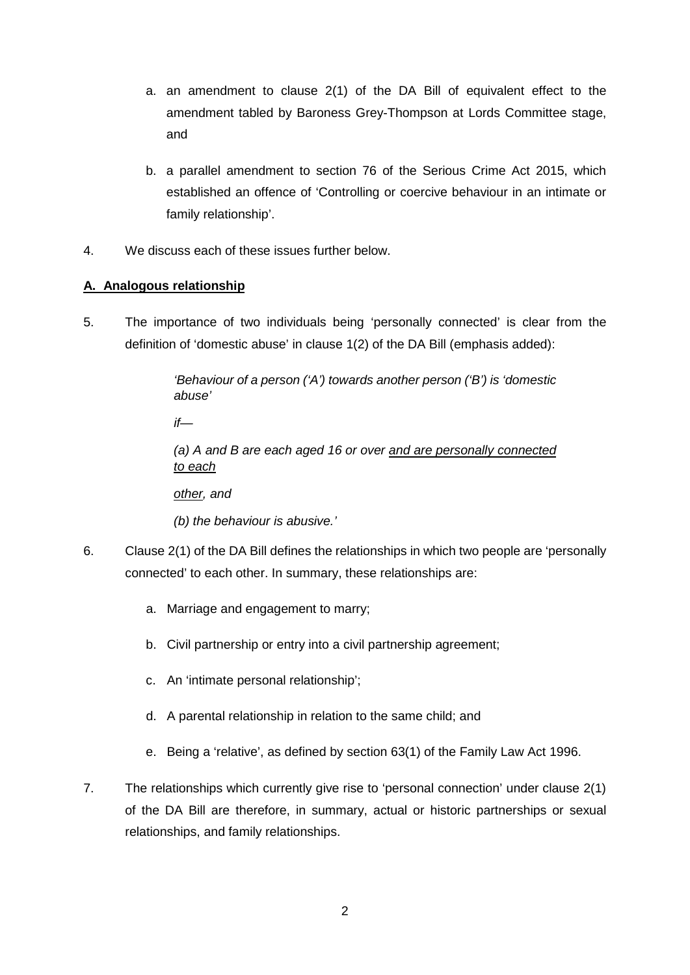- a. an amendment to clause 2(1) of the DA Bill of equivalent effect to the amendment tabled by Baroness Grey-Thompson at Lords Committee stage, and
- b. a parallel amendment to section 76 of the Serious Crime Act 2015, which established an offence of 'Controlling or coercive behaviour in an intimate or family relationship'.
- 4. We discuss each of these issues further below.

## **A. Analogous relationship**

5. The importance of two individuals being 'personally connected' is clear from the definition of 'domestic abuse' in clause 1(2) of the DA Bill (emphasis added):

> *'Behaviour of a person ('A') towards another person ('B') is 'domestic abuse'*

*if—*

*(a) A and B are each aged 16 or over and are personally connected to each*

*other, and*

*(b) the behaviour is abusive.'*

- 6. Clause 2(1) of the DA Bill defines the relationships in which two people are 'personally connected' to each other. In summary, these relationships are:
	- a. Marriage and engagement to marry;
	- b. Civil partnership or entry into a civil partnership agreement;
	- c. An 'intimate personal relationship';
	- d. A parental relationship in relation to the same child; and
	- e. Being a 'relative', as defined by section 63(1) of the Family Law Act 1996.
- 7. The relationships which currently give rise to 'personal connection' under clause 2(1) of the DA Bill are therefore, in summary, actual or historic partnerships or sexual relationships, and family relationships.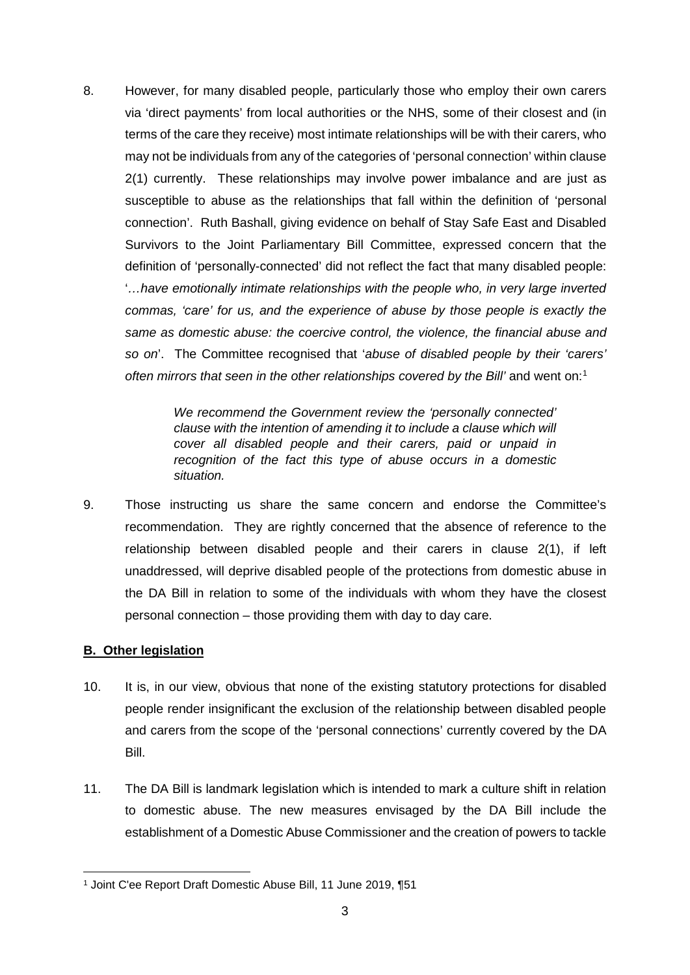8. However, for many disabled people, particularly those who employ their own carers via 'direct payments' from local authorities or the NHS, some of their closest and (in terms of the care they receive) most intimate relationships will be with their carers, who may not be individuals from any of the categories of 'personal connection' within clause 2(1) currently. These relationships may involve power imbalance and are just as susceptible to abuse as the relationships that fall within the definition of 'personal connection'. Ruth Bashall, giving evidence on behalf of Stay Safe East and Disabled Survivors to the Joint Parliamentary Bill Committee, expressed concern that the definition of 'personally-connected' did not reflect the fact that many disabled people: '*…have emotionally intimate relationships with the people who, in very large inverted commas, 'care' for us, and the experience of abuse by those people is exactly the same as domestic abuse: the coercive control, the violence, the financial abuse and so on*'. The Committee recognised that '*abuse of disabled people by their 'carers' often mirrors that seen in the other relationships covered by the Bill'* and went on: 1

> *We recommend the Government review the 'personally connected' clause with the intention of amending it to include a clause which will cover all disabled people and their carers, paid or unpaid in recognition of the fact this type of abuse occurs in a domestic situation.*

9. Those instructing us share the same concern and endorse the Committee's recommendation. They are rightly concerned that the absence of reference to the relationship between disabled people and their carers in clause 2(1), if left unaddressed, will deprive disabled people of the protections from domestic abuse in the DA Bill in relation to some of the individuals with whom they have the closest personal connection – those providing them with day to day care.

### **B. Other legislation**

- 10. It is, in our view, obvious that none of the existing statutory protections for disabled people render insignificant the exclusion of the relationship between disabled people and carers from the scope of the 'personal connections' currently covered by the DA Bill.
- 11. The DA Bill is landmark legislation which is intended to mark a culture shift in relation to domestic abuse. The new measures envisaged by the DA Bill include the establishment of a Domestic Abuse Commissioner and the creation of powers to tackle

**<sup>.</sup>** <sup>1</sup> Joint C'ee Report Draft Domestic Abuse Bill, 11 June 2019, ¶51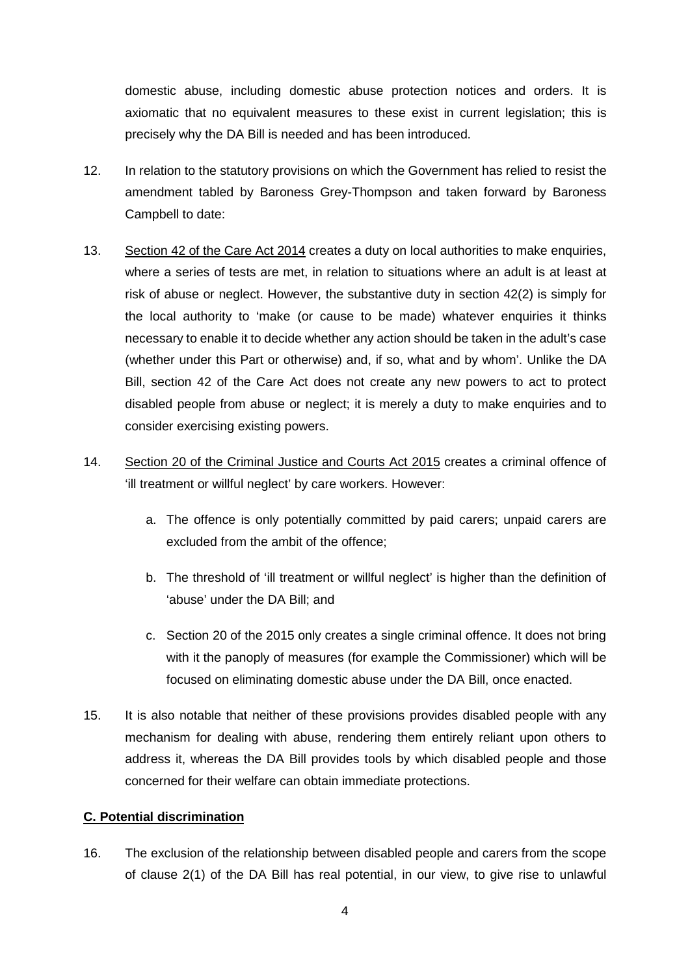domestic abuse, including domestic abuse protection notices and orders. It is axiomatic that no equivalent measures to these exist in current legislation; this is precisely why the DA Bill is needed and has been introduced.

- 12. In relation to the statutory provisions on which the Government has relied to resist the amendment tabled by Baroness Grey-Thompson and taken forward by Baroness Campbell to date:
- 13. Section 42 of the Care Act 2014 creates a duty on local authorities to make enquiries, where a series of tests are met, in relation to situations where an adult is at least at risk of abuse or neglect. However, the substantive duty in section 42(2) is simply for the local authority to 'make (or cause to be made) whatever enquiries it thinks necessary to enable it to decide whether any action should be taken in the adult's case (whether under this Part or otherwise) and, if so, what and by whom'. Unlike the DA Bill, section 42 of the Care Act does not create any new powers to act to protect disabled people from abuse or neglect; it is merely a duty to make enquiries and to consider exercising existing powers.
- 14. Section 20 of the Criminal Justice and Courts Act 2015 creates a criminal offence of 'ill treatment or willful neglect' by care workers. However:
	- a. The offence is only potentially committed by paid carers; unpaid carers are excluded from the ambit of the offence;
	- b. The threshold of 'ill treatment or willful neglect' is higher than the definition of 'abuse' under the DA Bill; and
	- c. Section 20 of the 2015 only creates a single criminal offence. It does not bring with it the panoply of measures (for example the Commissioner) which will be focused on eliminating domestic abuse under the DA Bill, once enacted.
- 15. It is also notable that neither of these provisions provides disabled people with any mechanism for dealing with abuse, rendering them entirely reliant upon others to address it, whereas the DA Bill provides tools by which disabled people and those concerned for their welfare can obtain immediate protections.

# **C. Potential discrimination**

16. The exclusion of the relationship between disabled people and carers from the scope of clause 2(1) of the DA Bill has real potential, in our view, to give rise to unlawful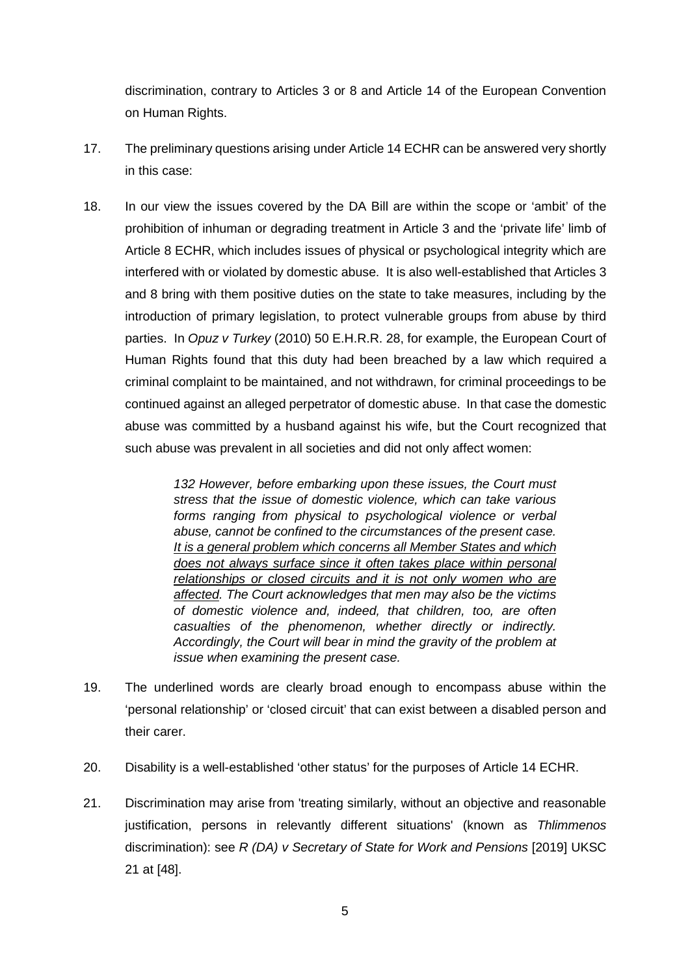discrimination, contrary to Articles 3 or 8 and Article 14 of the European Convention on Human Rights.

- 17. The preliminary questions arising under Article 14 ECHR can be answered very shortly in this case:
- 18. In our view the issues covered by the DA Bill are within the scope or 'ambit' of the prohibition of inhuman or degrading treatment in Article 3 and the 'private life' limb of Article 8 ECHR, which includes issues of physical or psychological integrity which are interfered with or violated by domestic abuse. It is also well-established that Articles 3 and 8 bring with them positive duties on the state to take measures, including by the introduction of primary legislation, to protect vulnerable groups from abuse by third parties. In *Opuz v Turkey* (2010) 50 E.H.R.R. 28, for example, the European Court of Human Rights found that this duty had been breached by a law which required a criminal complaint to be maintained, and not withdrawn, for criminal proceedings to be continued against an alleged perpetrator of domestic abuse. In that case the domestic abuse was committed by a husband against his wife, but the Court recognized that such abuse was prevalent in all societies and did not only affect women:

*132 However, before embarking upon these issues, the Court must stress that the issue of domestic violence, which can take various forms ranging from physical to psychological violence or verbal abuse, cannot be confined to the circumstances of the present case. It is a general problem which concerns all Member States and which does not always surface since it often takes place within personal relationships or closed circuits and it is not only women who are affected. The Court acknowledges that men may also be the victims of domestic violence and, indeed, that children, too, are often casualties of the phenomenon, whether directly or indirectly. Accordingly, the Court will bear in mind the gravity of the problem at issue when examining the present case.*

- 19. The underlined words are clearly broad enough to encompass abuse within the 'personal relationship' or 'closed circuit' that can exist between a disabled person and their carer.
- 20. Disability is a well-established 'other status' for the purposes of Article 14 ECHR.
- 21. Discrimination may arise from 'treating similarly, without an objective and reasonable justification, persons in relevantly different situations' (known as *Thlimmenos* discrimination): see *R (DA) v Secretary of State for Work and Pensions* [2019] UKSC 21 at [48].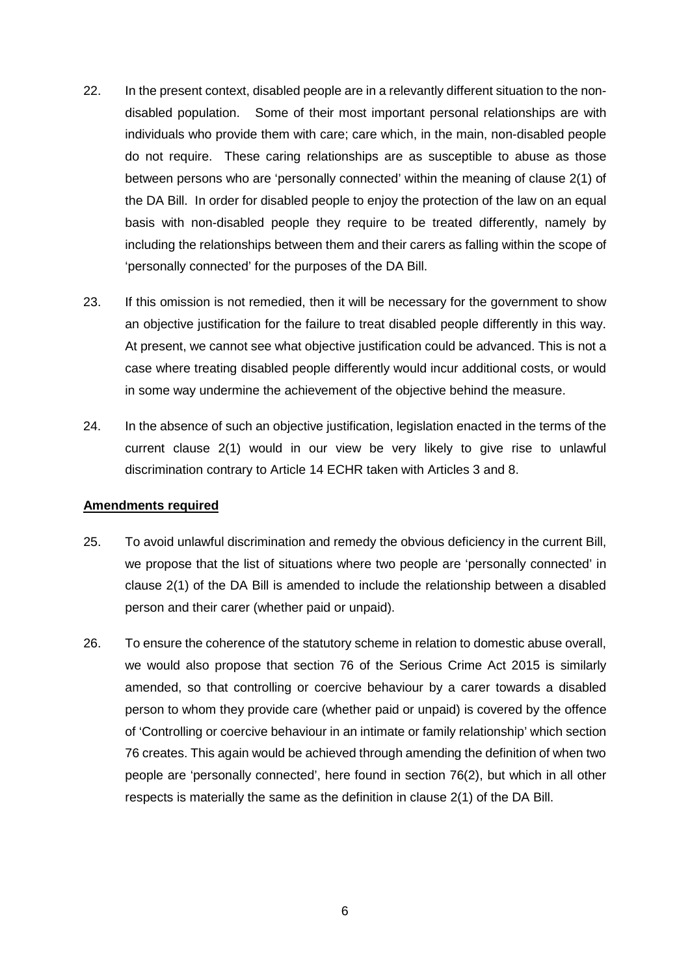- 22. In the present context, disabled people are in a relevantly different situation to the nondisabled population. Some of their most important personal relationships are with individuals who provide them with care; care which, in the main, non-disabled people do not require. These caring relationships are as susceptible to abuse as those between persons who are 'personally connected' within the meaning of clause 2(1) of the DA Bill. In order for disabled people to enjoy the protection of the law on an equal basis with non-disabled people they require to be treated differently, namely by including the relationships between them and their carers as falling within the scope of 'personally connected' for the purposes of the DA Bill.
- 23. If this omission is not remedied, then it will be necessary for the government to show an objective justification for the failure to treat disabled people differently in this way. At present, we cannot see what objective justification could be advanced. This is not a case where treating disabled people differently would incur additional costs, or would in some way undermine the achievement of the objective behind the measure.
- 24. In the absence of such an objective justification, legislation enacted in the terms of the current clause 2(1) would in our view be very likely to give rise to unlawful discrimination contrary to Article 14 ECHR taken with Articles 3 and 8.

#### **Amendments required**

- 25. To avoid unlawful discrimination and remedy the obvious deficiency in the current Bill, we propose that the list of situations where two people are 'personally connected' in clause 2(1) of the DA Bill is amended to include the relationship between a disabled person and their carer (whether paid or unpaid).
- 26. To ensure the coherence of the statutory scheme in relation to domestic abuse overall, we would also propose that section 76 of the Serious Crime Act 2015 is similarly amended, so that controlling or coercive behaviour by a carer towards a disabled person to whom they provide care (whether paid or unpaid) is covered by the offence of 'Controlling or coercive behaviour in an intimate or family relationship' which section 76 creates. This again would be achieved through amending the definition of when two people are 'personally connected', here found in section 76(2), but which in all other respects is materially the same as the definition in clause 2(1) of the DA Bill.